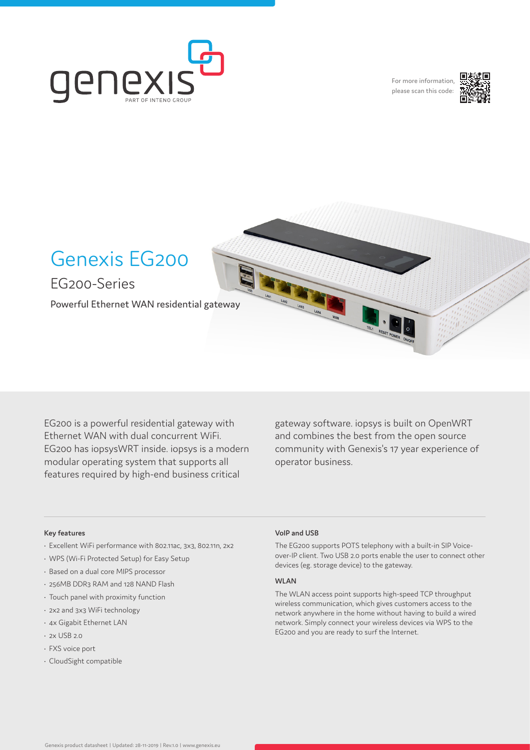

For more information, please scan this code:





EG200 is a powerful residential gateway with Ethernet WAN with dual concurrent WiFi. EG200 has iopsysWRT inside. iopsys is a modern modular operating system that supports all features required by high-end business critical

gateway software. iopsys is built on OpenWRT and combines the best from the open source community with Genexis's 17 year experience of operator business.

#### **Key features**

- Excellent WiFi performance with 802.11ac, 3x3, 802.11n, 2x2
- WPS (Wi-Fi Protected Setup) for Easy Setup
- Based on a dual core MIPS processor
- 256MB DDR3 RAM and 128 NAND Flash
- Touch panel with proximity function
- 2x2 and 3x3 WiFi technology
- 4x Gigabit Ethernet LAN
- 2x USB 2.0
- FXS voice port
- CloudSight compatible

#### **VoIP and USB**

The EG200 supports POTS telephony with a built-in SIP Voiceover-IP client. Two USB 2.0 ports enable the user to connect other devices (eg. storage device) to the gateway.

#### **WLAN**

The WLAN access point supports high-speed TCP throughput wireless communication, which gives customers access to the network anywhere in the home without having to build a wired network. Simply connect your wireless devices via WPS to the EG200 and you are ready to surf the Internet.